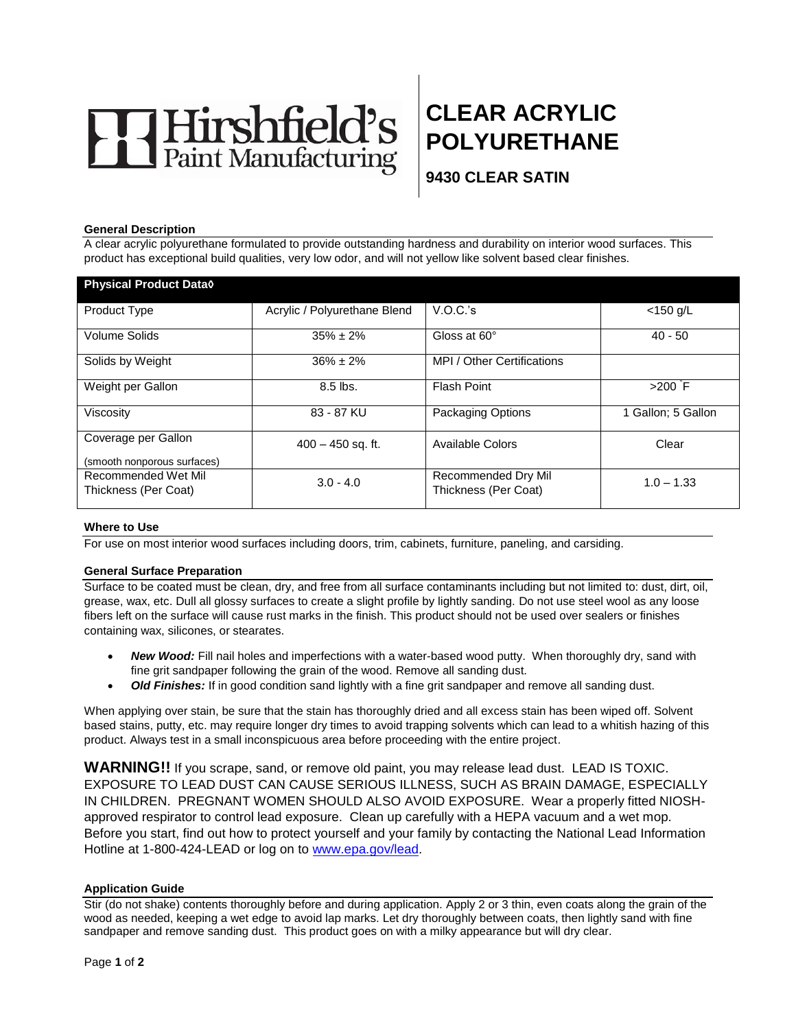

# **CLEAR ACRYLIC POLYURETHANE**

**9430 CLEAR SATIN** 

#### **General Description**

A clear acrylic polyurethane formulated to provide outstanding hardness and durability on interior wood surfaces. This product has exceptional build qualities, very low odor, and will not yellow like solvent based clear finishes.

| <b>Physical Product Datao</b>                      |                              |                            |                    |
|----------------------------------------------------|------------------------------|----------------------------|--------------------|
| <b>Product Type</b>                                | Acrylic / Polyurethane Blend | V.O.C.'s                   | $<$ 150 g/L        |
| Volume Solids                                      | $35\% \pm 2\%$               | Gloss at 60°               | $40 - 50$          |
| Solids by Weight                                   | $36\% \pm 2\%$               | MPI / Other Certifications |                    |
| Weight per Gallon                                  | $8.5$ lbs.                   | Flash Point                | $>200$ F           |
| Viscosity                                          | 83 - 87 KU                   | Packaging Options          | 1 Gallon; 5 Gallon |
| Coverage per Gallon<br>(smooth nonporous surfaces) | $400 - 450$ sq. ft.          | Available Colors           | Clear              |
| Recommended Wet Mil                                |                              | Recommended Dry Mil        |                    |
| Thickness (Per Coat)                               | $3.0 - 4.0$                  | Thickness (Per Coat)       | $1.0 - 1.33$       |

## **Where to Use**

For use on most interior wood surfaces including doors, trim, cabinets, furniture, paneling, and carsiding.

#### **General Surface Preparation**

Surface to be coated must be clean, dry, and free from all surface contaminants including but not limited to: dust, dirt, oil, grease, wax, etc. Dull all glossy surfaces to create a slight profile by lightly sanding. Do not use steel wool as any loose fibers left on the surface will cause rust marks in the finish. This product should not be used over sealers or finishes containing wax, silicones, or stearates.

- *New Wood:* Fill nail holes and imperfections with a water-based wood putty. When thoroughly dry, sand with fine grit sandpaper following the grain of the wood. Remove all sanding dust.
- *Old Finishes:* If in good condition sand lightly with a fine grit sandpaper and remove all sanding dust.

When applying over stain, be sure that the stain has thoroughly dried and all excess stain has been wiped off. Solvent based stains, putty, etc. may require longer dry times to avoid trapping solvents which can lead to a whitish hazing of this product. Always test in a small inconspicuous area before proceeding with the entire project.

**WARNING!!** If you scrape, sand, or remove old paint, you may release lead dust. LEAD IS TOXIC. EXPOSURE TO LEAD DUST CAN CAUSE SERIOUS ILLNESS, SUCH AS BRAIN DAMAGE, ESPECIALLY IN CHILDREN. PREGNANT WOMEN SHOULD ALSO AVOID EXPOSURE. Wear a properly fitted NIOSHapproved respirator to control lead exposure. Clean up carefully with a HEPA vacuum and a wet mop. Before you start, find out how to protect yourself and your family by contacting the National Lead Information Hotline at 1-800-424-LEAD or log on to [www.epa.gov/lead.](http://www.epa.gov/lead)

#### **Application Guide**

Stir (do not shake) contents thoroughly before and during application. Apply 2 or 3 thin, even coats along the grain of the wood as needed, keeping a wet edge to avoid lap marks. Let dry thoroughly between coats, then lightly sand with fine sandpaper and remove sanding dust. This product goes on with a milky appearance but will dry clear.